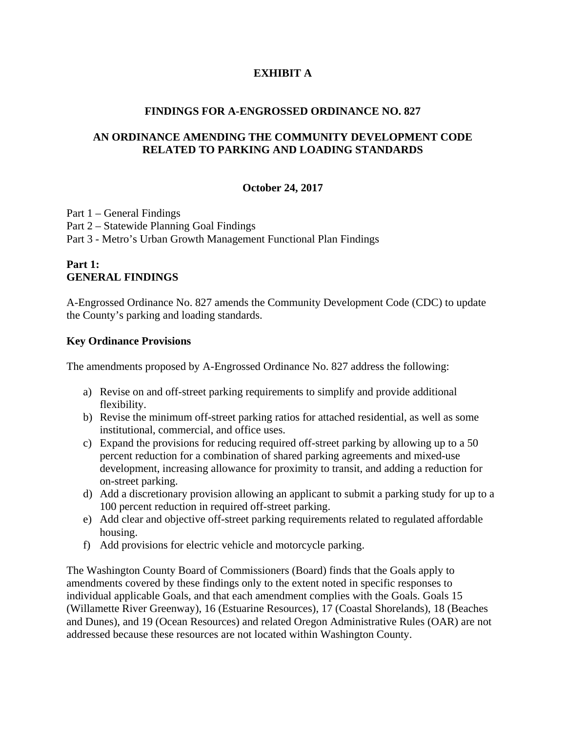# **EXHIBIT A**

#### **FINDINGS FOR A-ENGROSSED ORDINANCE NO. 827**

#### **AN ORDINANCE AMENDING THE COMMUNITY DEVELOPMENT CODE RELATED TO PARKING AND LOADING STANDARDS**

#### **October 24, 2017**

Part 1 – General Findings Part 2 – Statewide Planning Goal Findings Part 3 - Metro's Urban Growth Management Functional Plan Findings

### **Part 1: GENERAL FINDINGS**

A-Engrossed Ordinance No. 827 amends the Community Development Code (CDC) to update the County's parking and loading standards.

#### **Key Ordinance Provisions**

The amendments proposed by A-Engrossed Ordinance No. 827 address the following:

- a) Revise on and off-street parking requirements to simplify and provide additional flexibility.
- b) Revise the minimum off-street parking ratios for attached residential, as well as some institutional, commercial, and office uses.
- c) Expand the provisions for reducing required off-street parking by allowing up to a 50 percent reduction for a combination of shared parking agreements and mixed-use development, increasing allowance for proximity to transit, and adding a reduction for on-street parking.
- d) Add a discretionary provision allowing an applicant to submit a parking study for up to a 100 percent reduction in required off-street parking.
- e) Add clear and objective off-street parking requirements related to regulated affordable housing.
- f) Add provisions for electric vehicle and motorcycle parking.

The Washington County Board of Commissioners (Board) finds that the Goals apply to amendments covered by these findings only to the extent noted in specific responses to individual applicable Goals, and that each amendment complies with the Goals. Goals 15 (Willamette River Greenway), 16 (Estuarine Resources), 17 (Coastal Shorelands), 18 (Beaches and Dunes), and 19 (Ocean Resources) and related Oregon Administrative Rules (OAR) are not addressed because these resources are not located within Washington County.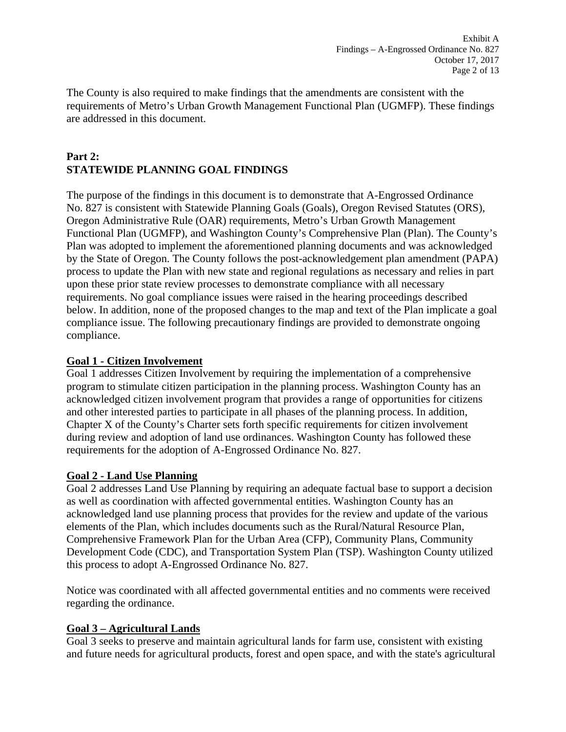The County is also required to make findings that the amendments are consistent with the requirements of Metro's Urban Growth Management Functional Plan (UGMFP). These findings are addressed in this document.

# **Part 2: STATEWIDE PLANNING GOAL FINDINGS**

The purpose of the findings in this document is to demonstrate that A-Engrossed Ordinance No. 827 is consistent with Statewide Planning Goals (Goals), Oregon Revised Statutes (ORS), Oregon Administrative Rule (OAR) requirements, Metro's Urban Growth Management Functional Plan (UGMFP), and Washington County's Comprehensive Plan (Plan). The County's Plan was adopted to implement the aforementioned planning documents and was acknowledged by the State of Oregon. The County follows the post-acknowledgement plan amendment (PAPA) process to update the Plan with new state and regional regulations as necessary and relies in part upon these prior state review processes to demonstrate compliance with all necessary requirements. No goal compliance issues were raised in the hearing proceedings described below. In addition, none of the proposed changes to the map and text of the Plan implicate a goal compliance issue. The following precautionary findings are provided to demonstrate ongoing compliance.

# **Goal 1 - Citizen Involvement**

Goal 1 addresses Citizen Involvement by requiring the implementation of a comprehensive program to stimulate citizen participation in the planning process. Washington County has an acknowledged citizen involvement program that provides a range of opportunities for citizens and other interested parties to participate in all phases of the planning process. In addition, Chapter X of the County's Charter sets forth specific requirements for citizen involvement during review and adoption of land use ordinances. Washington County has followed these requirements for the adoption of A-Engrossed Ordinance No. 827.

# **Goal 2 - Land Use Planning**

Goal 2 addresses Land Use Planning by requiring an adequate factual base to support a decision as well as coordination with affected governmental entities. Washington County has an acknowledged land use planning process that provides for the review and update of the various elements of the Plan, which includes documents such as the Rural/Natural Resource Plan, Comprehensive Framework Plan for the Urban Area (CFP), Community Plans, Community Development Code (CDC), and Transportation System Plan (TSP). Washington County utilized this process to adopt A-Engrossed Ordinance No. 827.

Notice was coordinated with all affected governmental entities and no comments were received regarding the ordinance.

# **Goal 3 – Agricultural Lands**

Goal 3 seeks to preserve and maintain agricultural lands for farm use, consistent with existing and future needs for agricultural products, forest and open space, and with the state's agricultural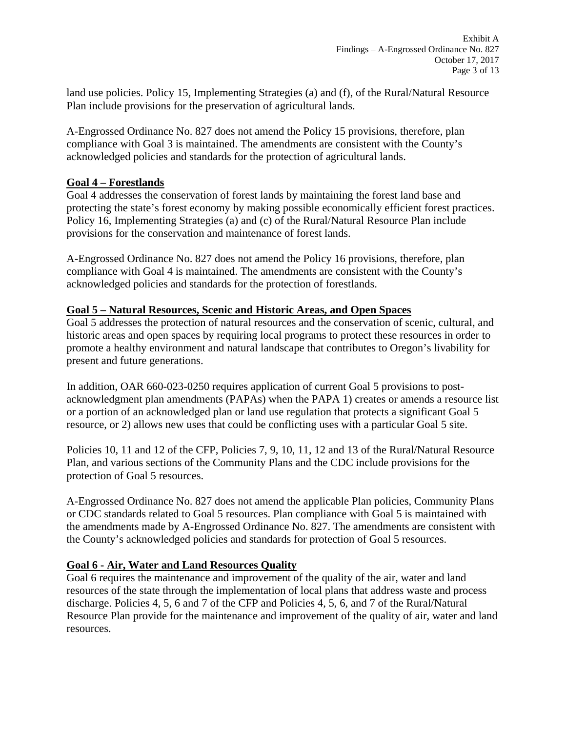land use policies. Policy 15, Implementing Strategies (a) and (f), of the Rural/Natural Resource Plan include provisions for the preservation of agricultural lands.

A-Engrossed Ordinance No. 827 does not amend the Policy 15 provisions, therefore, plan compliance with Goal 3 is maintained. The amendments are consistent with the County's acknowledged policies and standards for the protection of agricultural lands.

## **Goal 4 – Forestlands**

Goal 4 addresses the conservation of forest lands by maintaining the forest land base and protecting the state's forest economy by making possible economically efficient forest practices. Policy 16, Implementing Strategies (a) and (c) of the Rural/Natural Resource Plan include provisions for the conservation and maintenance of forest lands.

A-Engrossed Ordinance No. 827 does not amend the Policy 16 provisions, therefore, plan compliance with Goal 4 is maintained. The amendments are consistent with the County's acknowledged policies and standards for the protection of forestlands.

#### **Goal 5 – Natural Resources, Scenic and Historic Areas, and Open Spaces**

Goal 5 addresses the protection of natural resources and the conservation of scenic, cultural, and historic areas and open spaces by requiring local programs to protect these resources in order to promote a healthy environment and natural landscape that contributes to Oregon's livability for present and future generations.

In addition, OAR 660-023-0250 requires application of current Goal 5 provisions to postacknowledgment plan amendments (PAPAs) when the PAPA 1) creates or amends a resource list or a portion of an acknowledged plan or land use regulation that protects a significant Goal 5 resource, or 2) allows new uses that could be conflicting uses with a particular Goal 5 site.

Policies 10, 11 and 12 of the CFP, Policies 7, 9, 10, 11, 12 and 13 of the Rural/Natural Resource Plan, and various sections of the Community Plans and the CDC include provisions for the protection of Goal 5 resources.

A-Engrossed Ordinance No. 827 does not amend the applicable Plan policies, Community Plans or CDC standards related to Goal 5 resources. Plan compliance with Goal 5 is maintained with the amendments made by A-Engrossed Ordinance No. 827. The amendments are consistent with the County's acknowledged policies and standards for protection of Goal 5 resources.

# **Goal 6 - Air, Water and Land Resources Quality**

Goal 6 requires the maintenance and improvement of the quality of the air, water and land resources of the state through the implementation of local plans that address waste and process discharge. Policies 4, 5, 6 and 7 of the CFP and Policies 4, 5, 6, and 7 of the Rural/Natural Resource Plan provide for the maintenance and improvement of the quality of air, water and land resources.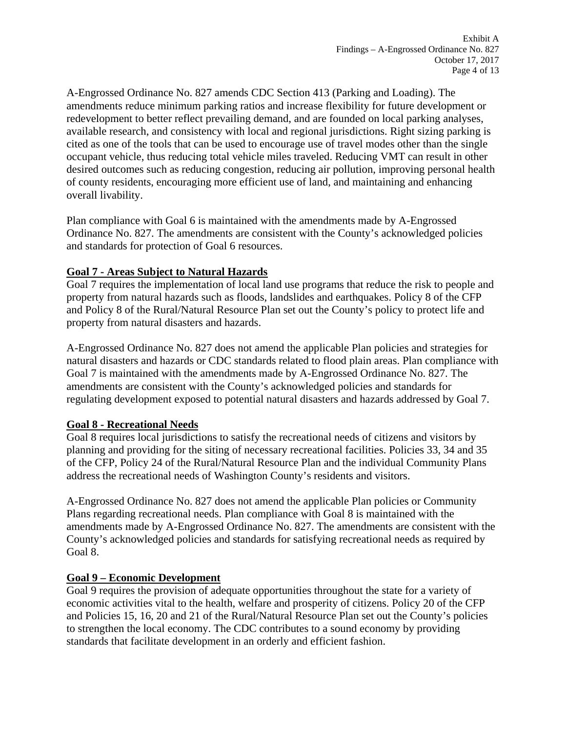A-Engrossed Ordinance No. 827 amends CDC Section 413 (Parking and Loading). The amendments reduce minimum parking ratios and increase flexibility for future development or redevelopment to better reflect prevailing demand, and are founded on local parking analyses, available research, and consistency with local and regional jurisdictions. Right sizing parking is cited as one of the tools that can be used to encourage use of travel modes other than the single occupant vehicle, thus reducing total vehicle miles traveled. Reducing VMT can result in other desired outcomes such as reducing congestion, reducing air pollution, improving personal health of county residents, encouraging more efficient use of land, and maintaining and enhancing overall livability.

Plan compliance with Goal 6 is maintained with the amendments made by A-Engrossed Ordinance No. 827. The amendments are consistent with the County's acknowledged policies and standards for protection of Goal 6 resources.

# **Goal 7 - Areas Subject to Natural Hazards**

Goal 7 requires the implementation of local land use programs that reduce the risk to people and property from natural hazards such as floods, landslides and earthquakes. Policy 8 of the CFP and Policy 8 of the Rural/Natural Resource Plan set out the County's policy to protect life and property from natural disasters and hazards.

A-Engrossed Ordinance No. 827 does not amend the applicable Plan policies and strategies for natural disasters and hazards or CDC standards related to flood plain areas. Plan compliance with Goal 7 is maintained with the amendments made by A-Engrossed Ordinance No. 827. The amendments are consistent with the County's acknowledged policies and standards for regulating development exposed to potential natural disasters and hazards addressed by Goal 7.

# **Goal 8 - Recreational Needs**

Goal 8 requires local jurisdictions to satisfy the recreational needs of citizens and visitors by planning and providing for the siting of necessary recreational facilities. Policies 33, 34 and 35 of the CFP, Policy 24 of the Rural/Natural Resource Plan and the individual Community Plans address the recreational needs of Washington County's residents and visitors.

A-Engrossed Ordinance No. 827 does not amend the applicable Plan policies or Community Plans regarding recreational needs. Plan compliance with Goal 8 is maintained with the amendments made by A-Engrossed Ordinance No. 827. The amendments are consistent with the County's acknowledged policies and standards for satisfying recreational needs as required by Goal 8.

# **Goal 9 – Economic Development**

Goal 9 requires the provision of adequate opportunities throughout the state for a variety of economic activities vital to the health, welfare and prosperity of citizens. Policy 20 of the CFP and Policies 15, 16, 20 and 21 of the Rural/Natural Resource Plan set out the County's policies to strengthen the local economy. The CDC contributes to a sound economy by providing standards that facilitate development in an orderly and efficient fashion.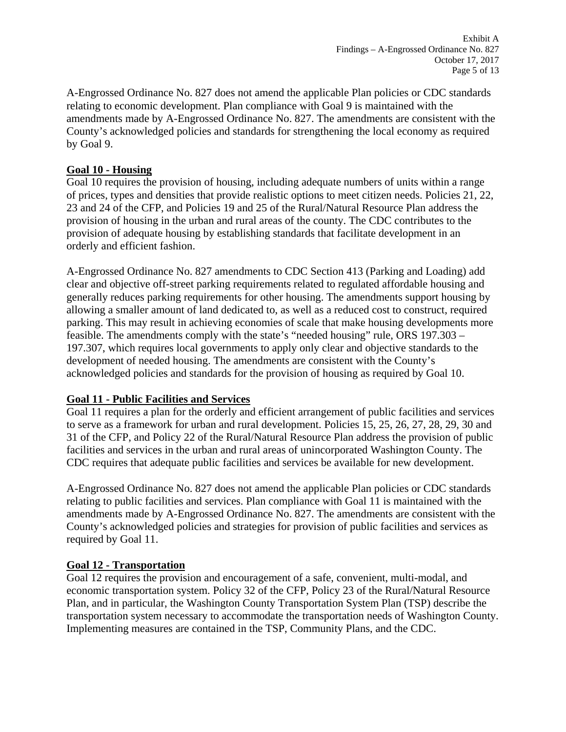A-Engrossed Ordinance No. 827 does not amend the applicable Plan policies or CDC standards relating to economic development. Plan compliance with Goal 9 is maintained with the amendments made by A-Engrossed Ordinance No. 827. The amendments are consistent with the County's acknowledged policies and standards for strengthening the local economy as required by Goal 9.

# **Goal 10 - Housing**

Goal 10 requires the provision of housing, including adequate numbers of units within a range of prices, types and densities that provide realistic options to meet citizen needs. Policies 21, 22, 23 and 24 of the CFP, and Policies 19 and 25 of the Rural/Natural Resource Plan address the provision of housing in the urban and rural areas of the county. The CDC contributes to the provision of adequate housing by establishing standards that facilitate development in an orderly and efficient fashion.

A-Engrossed Ordinance No. 827 amendments to CDC Section 413 (Parking and Loading) add clear and objective off-street parking requirements related to regulated affordable housing and generally reduces parking requirements for other housing. The amendments support housing by allowing a smaller amount of land dedicated to, as well as a reduced cost to construct, required parking. This may result in achieving economies of scale that make housing developments more feasible. The amendments comply with the state's "needed housing" rule, ORS 197.303 – 197.307, which requires local governments to apply only clear and objective standards to the development of needed housing. The amendments are consistent with the County's acknowledged policies and standards for the provision of housing as required by Goal 10.

# **Goal 11 - Public Facilities and Services**

Goal 11 requires a plan for the orderly and efficient arrangement of public facilities and services to serve as a framework for urban and rural development. Policies 15, 25, 26, 27, 28, 29, 30 and 31 of the CFP, and Policy 22 of the Rural/Natural Resource Plan address the provision of public facilities and services in the urban and rural areas of unincorporated Washington County. The CDC requires that adequate public facilities and services be available for new development.

A-Engrossed Ordinance No. 827 does not amend the applicable Plan policies or CDC standards relating to public facilities and services. Plan compliance with Goal 11 is maintained with the amendments made by A-Engrossed Ordinance No. 827. The amendments are consistent with the County's acknowledged policies and strategies for provision of public facilities and services as required by Goal 11.

# **Goal 12 - Transportation**

Goal 12 requires the provision and encouragement of a safe, convenient, multi-modal, and economic transportation system. Policy 32 of the CFP, Policy 23 of the Rural/Natural Resource Plan, and in particular, the Washington County Transportation System Plan (TSP) describe the transportation system necessary to accommodate the transportation needs of Washington County. Implementing measures are contained in the TSP, Community Plans, and the CDC.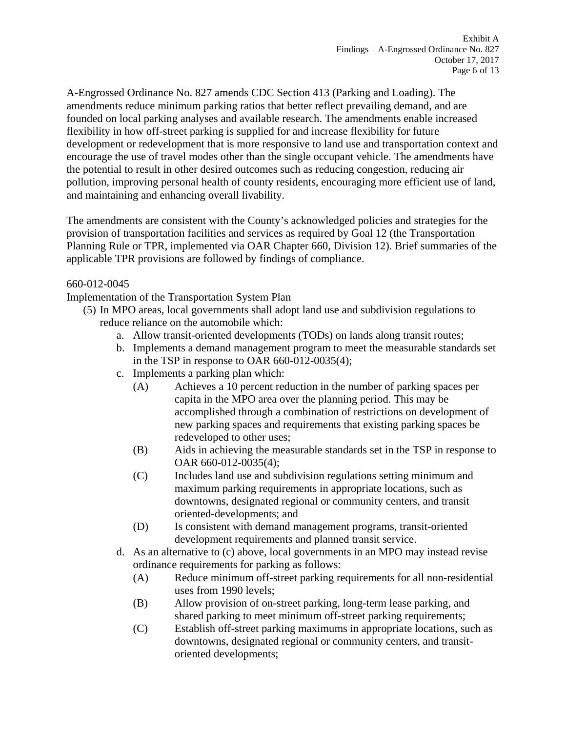A-Engrossed Ordinance No. 827 amends CDC Section 413 (Parking and Loading). The amendments reduce minimum parking ratios that better reflect prevailing demand, and are founded on local parking analyses and available research. The amendments enable increased flexibility in how off-street parking is supplied for and increase flexibility for future development or redevelopment that is more responsive to land use and transportation context and encourage the use of travel modes other than the single occupant vehicle. The amendments have the potential to result in other desired outcomes such as reducing congestion, reducing air pollution, improving personal health of county residents, encouraging more efficient use of land, and maintaining and enhancing overall livability.

The amendments are consistent with the County's acknowledged policies and strategies for the provision of transportation facilities and services as required by Goal 12 (the Transportation Planning Rule or TPR, implemented via OAR Chapter 660, Division 12). Brief summaries of the applicable TPR provisions are followed by findings of compliance.

# 660-012-0045

Implementation of the Transportation System Plan

- (5) In MPO areas, local governments shall adopt land use and subdivision regulations to reduce reliance on the automobile which:
	- a. Allow transit-oriented developments (TODs) on lands along transit routes;
	- b. Implements a demand management program to meet the measurable standards set in the TSP in response to OAR 660-012-0035(4);
	- c. Implements a parking plan which:
		- (A) Achieves a 10 percent reduction in the number of parking spaces per capita in the MPO area over the planning period. This may be accomplished through a combination of restrictions on development of new parking spaces and requirements that existing parking spaces be redeveloped to other uses;
		- (B) Aids in achieving the measurable standards set in the TSP in response to OAR 660-012-0035(4);
		- (C) Includes land use and subdivision regulations setting minimum and maximum parking requirements in appropriate locations, such as downtowns, designated regional or community centers, and transit oriented-developments; and
		- (D) Is consistent with demand management programs, transit-oriented development requirements and planned transit service.
	- d. As an alternative to (c) above, local governments in an MPO may instead revise ordinance requirements for parking as follows:
		- (A) Reduce minimum off-street parking requirements for all non-residential uses from 1990 levels;
		- (B) Allow provision of on-street parking, long-term lease parking, and shared parking to meet minimum off-street parking requirements;
		- (C) Establish off-street parking maximums in appropriate locations, such as downtowns, designated regional or community centers, and transitoriented developments;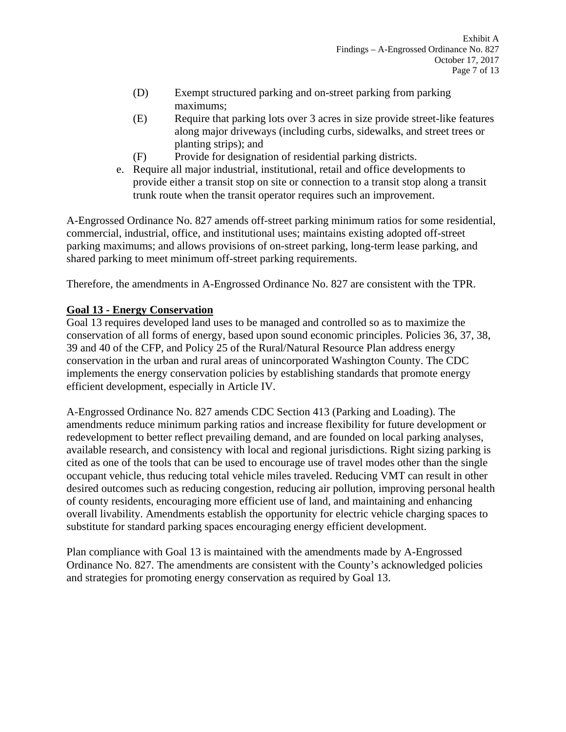- (D) Exempt structured parking and on-street parking from parking maximums;
- (E) Require that parking lots over 3 acres in size provide street-like features along major driveways (including curbs, sidewalks, and street trees or planting strips); and
- (F) Provide for designation of residential parking districts.
- e. Require all major industrial, institutional, retail and office developments to provide either a transit stop on site or connection to a transit stop along a transit trunk route when the transit operator requires such an improvement.

A-Engrossed Ordinance No. 827 amends off-street parking minimum ratios for some residential, commercial, industrial, office, and institutional uses; maintains existing adopted off-street parking maximums; and allows provisions of on-street parking, long-term lease parking, and shared parking to meet minimum off-street parking requirements.

Therefore, the amendments in A-Engrossed Ordinance No. 827 are consistent with the TPR.

# **Goal 13 - Energy Conservation**

Goal 13 requires developed land uses to be managed and controlled so as to maximize the conservation of all forms of energy, based upon sound economic principles. Policies 36, 37, 38, 39 and 40 of the CFP, and Policy 25 of the Rural/Natural Resource Plan address energy conservation in the urban and rural areas of unincorporated Washington County. The CDC implements the energy conservation policies by establishing standards that promote energy efficient development, especially in Article IV.

A-Engrossed Ordinance No. 827 amends CDC Section 413 (Parking and Loading). The amendments reduce minimum parking ratios and increase flexibility for future development or redevelopment to better reflect prevailing demand, and are founded on local parking analyses, available research, and consistency with local and regional jurisdictions. Right sizing parking is cited as one of the tools that can be used to encourage use of travel modes other than the single occupant vehicle, thus reducing total vehicle miles traveled. Reducing VMT can result in other desired outcomes such as reducing congestion, reducing air pollution, improving personal health of county residents, encouraging more efficient use of land, and maintaining and enhancing overall livability. Amendments establish the opportunity for electric vehicle charging spaces to substitute for standard parking spaces encouraging energy efficient development.

Plan compliance with Goal 13 is maintained with the amendments made by A-Engrossed Ordinance No. 827. The amendments are consistent with the County's acknowledged policies and strategies for promoting energy conservation as required by Goal 13.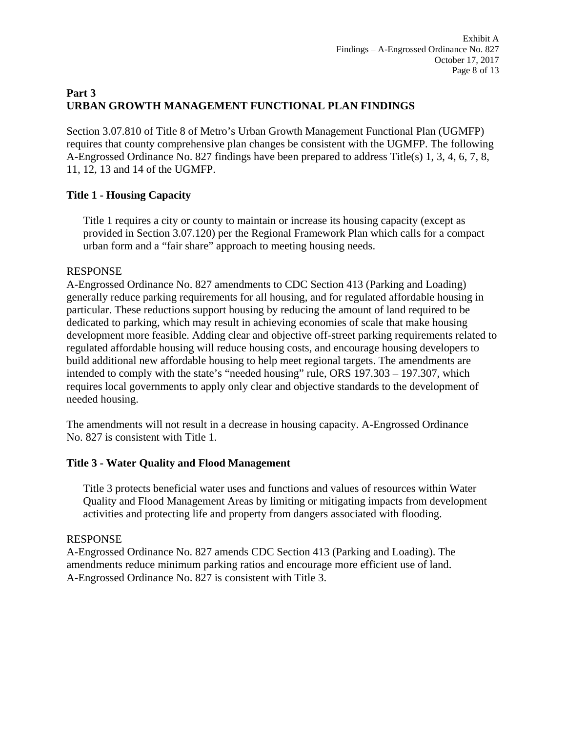# **Part 3 URBAN GROWTH MANAGEMENT FUNCTIONAL PLAN FINDINGS**

Section 3.07.810 of Title 8 of Metro's Urban Growth Management Functional Plan (UGMFP) requires that county comprehensive plan changes be consistent with the UGMFP. The following A-Engrossed Ordinance No. 827 findings have been prepared to address Title(s) 1, 3, 4, 6, 7, 8, 11, 12, 13 and 14 of the UGMFP.

# **Title 1 - Housing Capacity**

Title 1 requires a city or county to maintain or increase its housing capacity (except as provided in Section 3.07.120) per the Regional Framework Plan which calls for a compact urban form and a "fair share" approach to meeting housing needs.

#### RESPONSE

A-Engrossed Ordinance No. 827 amendments to CDC Section 413 (Parking and Loading) generally reduce parking requirements for all housing, and for regulated affordable housing in particular. These reductions support housing by reducing the amount of land required to be dedicated to parking, which may result in achieving economies of scale that make housing development more feasible. Adding clear and objective off-street parking requirements related to regulated affordable housing will reduce housing costs, and encourage housing developers to build additional new affordable housing to help meet regional targets. The amendments are intended to comply with the state's "needed housing" rule, ORS 197.303 – 197.307, which requires local governments to apply only clear and objective standards to the development of needed housing.

The amendments will not result in a decrease in housing capacity. A-Engrossed Ordinance No. 827 is consistent with Title 1.

# **Title 3 - Water Quality and Flood Management**

Title 3 protects beneficial water uses and functions and values of resources within Water Quality and Flood Management Areas by limiting or mitigating impacts from development activities and protecting life and property from dangers associated with flooding.

# RESPONSE

A-Engrossed Ordinance No. 827 amends CDC Section 413 (Parking and Loading). The amendments reduce minimum parking ratios and encourage more efficient use of land. A-Engrossed Ordinance No. 827 is consistent with Title 3.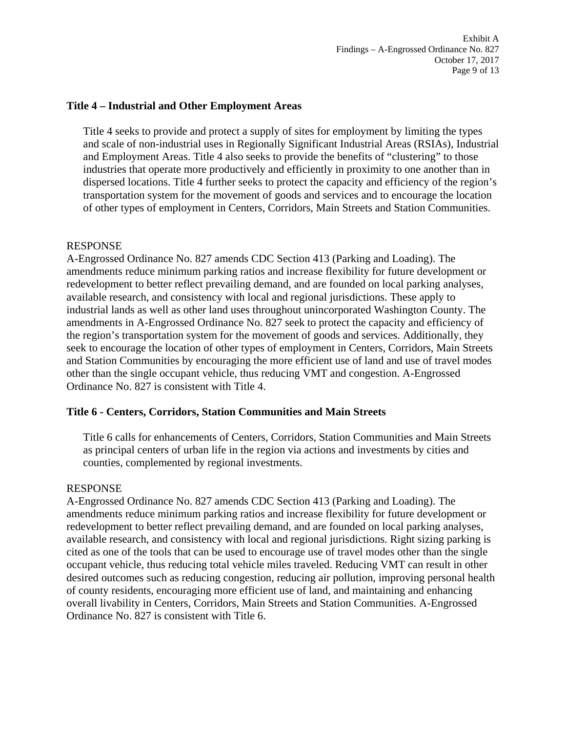#### **Title 4 – Industrial and Other Employment Areas**

Title 4 seeks to provide and protect a supply of sites for employment by limiting the types and scale of non-industrial uses in Regionally Significant Industrial Areas (RSIAs), Industrial and Employment Areas. Title 4 also seeks to provide the benefits of "clustering" to those industries that operate more productively and efficiently in proximity to one another than in dispersed locations. Title 4 further seeks to protect the capacity and efficiency of the region's transportation system for the movement of goods and services and to encourage the location of other types of employment in Centers, Corridors, Main Streets and Station Communities.

#### RESPONSE

A-Engrossed Ordinance No. 827 amends CDC Section 413 (Parking and Loading). The amendments reduce minimum parking ratios and increase flexibility for future development or redevelopment to better reflect prevailing demand, and are founded on local parking analyses, available research, and consistency with local and regional jurisdictions. These apply to industrial lands as well as other land uses throughout unincorporated Washington County. The amendments in A-Engrossed Ordinance No. 827 seek to protect the capacity and efficiency of the region's transportation system for the movement of goods and services. Additionally, they seek to encourage the location of other types of employment in Centers, Corridors, Main Streets and Station Communities by encouraging the more efficient use of land and use of travel modes other than the single occupant vehicle, thus reducing VMT and congestion. A-Engrossed Ordinance No. 827 is consistent with Title 4.

#### **Title 6 - Centers, Corridors, Station Communities and Main Streets**

Title 6 calls for enhancements of Centers, Corridors, Station Communities and Main Streets as principal centers of urban life in the region via actions and investments by cities and counties, complemented by regional investments.

#### RESPONSE

A-Engrossed Ordinance No. 827 amends CDC Section 413 (Parking and Loading). The amendments reduce minimum parking ratios and increase flexibility for future development or redevelopment to better reflect prevailing demand, and are founded on local parking analyses, available research, and consistency with local and regional jurisdictions. Right sizing parking is cited as one of the tools that can be used to encourage use of travel modes other than the single occupant vehicle, thus reducing total vehicle miles traveled. Reducing VMT can result in other desired outcomes such as reducing congestion, reducing air pollution, improving personal health of county residents, encouraging more efficient use of land, and maintaining and enhancing overall livability in Centers, Corridors, Main Streets and Station Communities. A-Engrossed Ordinance No. 827 is consistent with Title 6.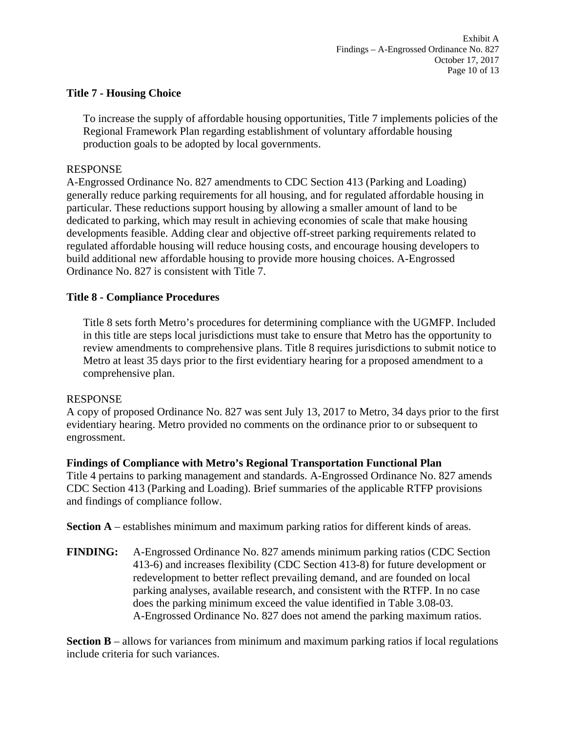#### **Title 7 - Housing Choice**

To increase the supply of affordable housing opportunities, Title 7 implements policies of the Regional Framework Plan regarding establishment of voluntary affordable housing production goals to be adopted by local governments.

#### RESPONSE

A-Engrossed Ordinance No. 827 amendments to CDC Section 413 (Parking and Loading) generally reduce parking requirements for all housing, and for regulated affordable housing in particular. These reductions support housing by allowing a smaller amount of land to be dedicated to parking, which may result in achieving economies of scale that make housing developments feasible. Adding clear and objective off-street parking requirements related to regulated affordable housing will reduce housing costs, and encourage housing developers to build additional new affordable housing to provide more housing choices. A-Engrossed Ordinance No. 827 is consistent with Title 7.

#### **Title 8 - Compliance Procedures**

Title 8 sets forth Metro's procedures for determining compliance with the UGMFP. Included in this title are steps local jurisdictions must take to ensure that Metro has the opportunity to review amendments to comprehensive plans. Title 8 requires jurisdictions to submit notice to Metro at least 35 days prior to the first evidentiary hearing for a proposed amendment to a comprehensive plan.

#### RESPONSE

A copy of proposed Ordinance No. 827 was sent July 13, 2017 to Metro, 34 days prior to the first evidentiary hearing. Metro provided no comments on the ordinance prior to or subsequent to engrossment.

#### **Findings of Compliance with Metro's Regional Transportation Functional Plan**

Title 4 pertains to parking management and standards. A-Engrossed Ordinance No. 827 amends CDC Section 413 (Parking and Loading). Brief summaries of the applicable RTFP provisions and findings of compliance follow.

**Section A** – establishes minimum and maximum parking ratios for different kinds of areas.

**FINDING:** A-Engrossed Ordinance No. 827 amends minimum parking ratios (CDC Section 413-6) and increases flexibility (CDC Section 413-8) for future development or redevelopment to better reflect prevailing demand, and are founded on local parking analyses, available research, and consistent with the RTFP. In no case does the parking minimum exceed the value identified in Table 3.08-03. A-Engrossed Ordinance No. 827 does not amend the parking maximum ratios.

**Section B** – allows for variances from minimum and maximum parking ratios if local regulations include criteria for such variances.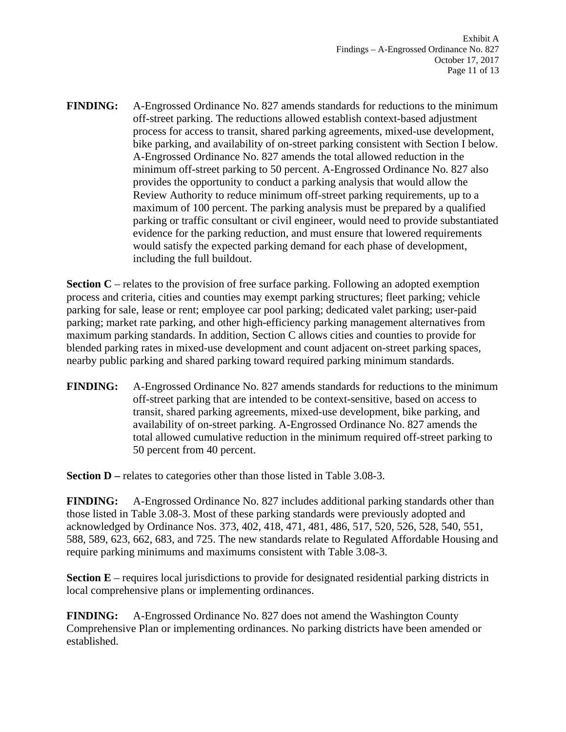**FINDING:** A-Engrossed Ordinance No. 827 amends standards for reductions to the minimum off-street parking. The reductions allowed establish context-based adjustment process for access to transit, shared parking agreements, mixed-use development, bike parking, and availability of on-street parking consistent with Section I below. A-Engrossed Ordinance No. 827 amends the total allowed reduction in the minimum off-street parking to 50 percent. A-Engrossed Ordinance No. 827 also provides the opportunity to conduct a parking analysis that would allow the Review Authority to reduce minimum off-street parking requirements, up to a maximum of 100 percent. The parking analysis must be prepared by a qualified parking or traffic consultant or civil engineer, would need to provide substantiated evidence for the parking reduction, and must ensure that lowered requirements would satisfy the expected parking demand for each phase of development, including the full buildout.

**Section C** – relates to the provision of free surface parking. Following an adopted exemption process and criteria, cities and counties may exempt parking structures; fleet parking; vehicle parking for sale, lease or rent; employee car pool parking; dedicated valet parking; user-paid parking; market rate parking, and other high-efficiency parking management alternatives from maximum parking standards. In addition, Section C allows cities and counties to provide for blended parking rates in mixed-use development and count adjacent on-street parking spaces, nearby public parking and shared parking toward required parking minimum standards.

**FINDING:** A-Engrossed Ordinance No. 827 amends standards for reductions to the minimum off-street parking that are intended to be context-sensitive, based on access to transit, shared parking agreements, mixed-use development, bike parking, and availability of on-street parking. A-Engrossed Ordinance No. 827 amends the total allowed cumulative reduction in the minimum required off-street parking to 50 percent from 40 percent.

**Section D** – relates to categories other than those listed in Table 3.08-3.

**FINDING:** A-Engrossed Ordinance No. 827 includes additional parking standards other than those listed in Table 3.08-3. Most of these parking standards were previously adopted and acknowledged by Ordinance Nos. 373, 402, 418, 471, 481, 486, 517, 520, 526, 528, 540, 551, 588, 589, 623, 662, 683, and 725. The new standards relate to Regulated Affordable Housing and require parking minimums and maximums consistent with Table 3.08-3.

**Section E** – requires local jurisdictions to provide for designated residential parking districts in local comprehensive plans or implementing ordinances.

**FINDING:** A-Engrossed Ordinance No. 827 does not amend the Washington County Comprehensive Plan or implementing ordinances. No parking districts have been amended or established.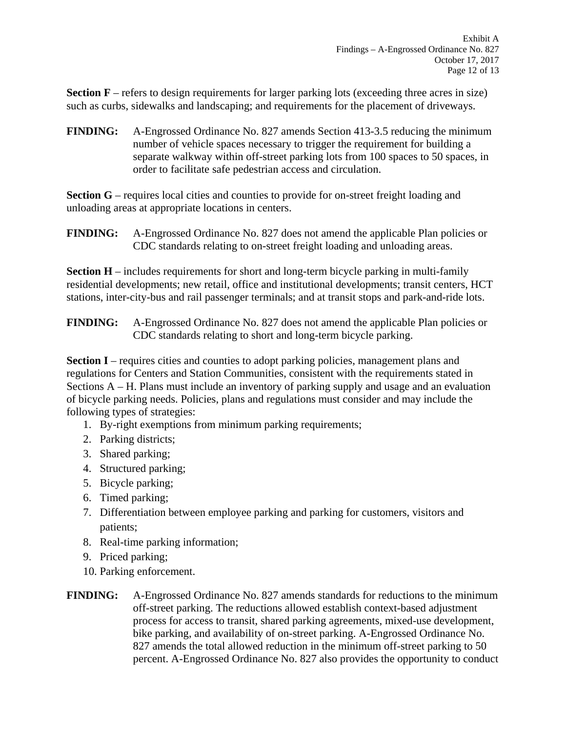**Section F** – refers to design requirements for larger parking lots (exceeding three acres in size) such as curbs, sidewalks and landscaping; and requirements for the placement of driveways.

**FINDING:** A-Engrossed Ordinance No. 827 amends Section 413-3.5 reducing the minimum number of vehicle spaces necessary to trigger the requirement for building a separate walkway within off-street parking lots from 100 spaces to 50 spaces, in order to facilitate safe pedestrian access and circulation.

**Section G** – requires local cities and counties to provide for on-street freight loading and unloading areas at appropriate locations in centers.

**FINDING:** A-Engrossed Ordinance No. 827 does not amend the applicable Plan policies or CDC standards relating to on-street freight loading and unloading areas.

**Section H** – includes requirements for short and long-term bicycle parking in multi-family residential developments; new retail, office and institutional developments; transit centers, HCT stations, inter-city-bus and rail passenger terminals; and at transit stops and park-and-ride lots.

**FINDING:** A-Engrossed Ordinance No. 827 does not amend the applicable Plan policies or CDC standards relating to short and long-term bicycle parking.

**Section I** – requires cities and counties to adopt parking policies, management plans and regulations for Centers and Station Communities, consistent with the requirements stated in Sections A – H. Plans must include an inventory of parking supply and usage and an evaluation of bicycle parking needs. Policies, plans and regulations must consider and may include the following types of strategies:

- 1. By-right exemptions from minimum parking requirements;
- 2. Parking districts;
- 3. Shared parking;
- 4. Structured parking;
- 5. Bicycle parking;
- 6. Timed parking;
- 7. Differentiation between employee parking and parking for customers, visitors and patients;
- 8. Real-time parking information;
- 9. Priced parking;
- 10. Parking enforcement.
- **FINDING:** A-Engrossed Ordinance No. 827 amends standards for reductions to the minimum off-street parking. The reductions allowed establish context-based adjustment process for access to transit, shared parking agreements, mixed-use development, bike parking, and availability of on-street parking. A-Engrossed Ordinance No. 827 amends the total allowed reduction in the minimum off-street parking to 50 percent. A-Engrossed Ordinance No. 827 also provides the opportunity to conduct